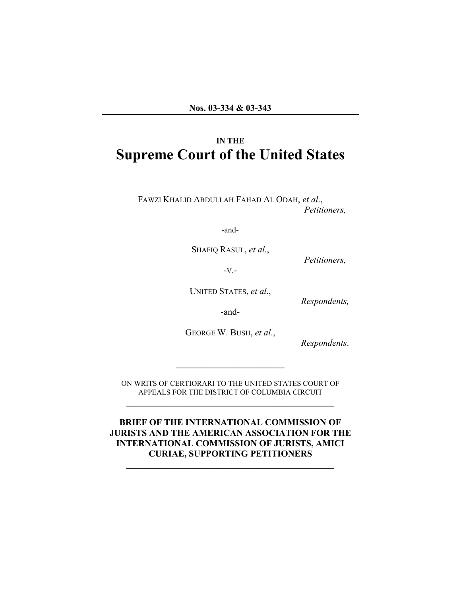# **IN THE Supreme Court of the United States**

 $\mathcal{L}_\text{max}$  , where  $\mathcal{L}_\text{max}$  , we have the set of  $\mathcal{L}_\text{max}$ 

FAWZI KHALID ABDULLAH FAHAD AL ODAH, *et al*., *Petitioners,*

-and-

SHAFIQ RASUL, *et al*.,

*Petitioners,*

-V.-

UNITED STATES, *et al*.,

*Respondents,*

-and-

GEORGE W. BUSH, *et al*.,

*Respondents*.

ON WRITS OF CERTIORARI TO THE UNITED STATES COURT OF APPEALS FOR THE DISTRICT OF COLUMBIA CIRCUIT **\_\_\_\_\_\_\_\_\_\_\_\_\_\_\_\_\_\_\_\_\_\_\_\_\_\_\_\_\_\_\_\_\_\_\_\_\_\_\_\_\_\_\_\_\_\_**

**\_\_\_\_\_\_\_\_\_\_\_\_\_\_\_\_\_\_\_\_\_\_\_\_**

**BRIEF OF THE INTERNATIONAL COMMISSION OF JURISTS AND THE AMERICAN ASSOCIATION FOR THE INTERNATIONAL COMMISSION OF JURISTS, AMICI CURIAE, SUPPORTING PETITIONERS**

**\_\_\_\_\_\_\_\_\_\_\_\_\_\_\_\_\_\_\_\_\_\_\_\_\_\_\_\_\_\_\_\_\_\_\_\_\_\_\_\_\_\_\_\_\_\_**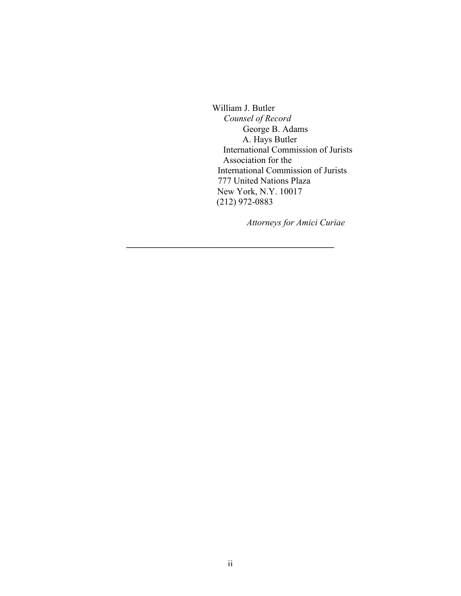William J. Butler *Counsel of Record* George B. Adams A. Hays Butler International Commission of Jurists Association for the International Commission of Jurists 777 United Nations Plaza New York, N.Y. 10017 (212) 972-0883

 *Attorneys for Amici Curiae*

**\_\_\_\_\_\_\_\_\_\_\_\_\_\_\_\_\_\_\_\_\_\_\_\_\_\_\_\_\_\_\_\_\_\_\_\_\_\_\_\_\_\_\_\_\_\_**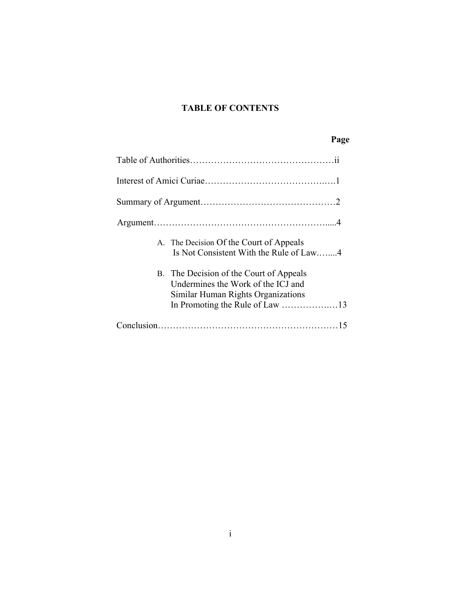### **TABLE OF CONTENTS**

## **Page**

| A. The Decision Of the Court of Appeals<br>Is Not Consistent With the Rule of Law4                                  |
|---------------------------------------------------------------------------------------------------------------------|
| B. The Decision of the Court of Appeals<br>Undermines the Work of the ICJ and<br>Similar Human Rights Organizations |
|                                                                                                                     |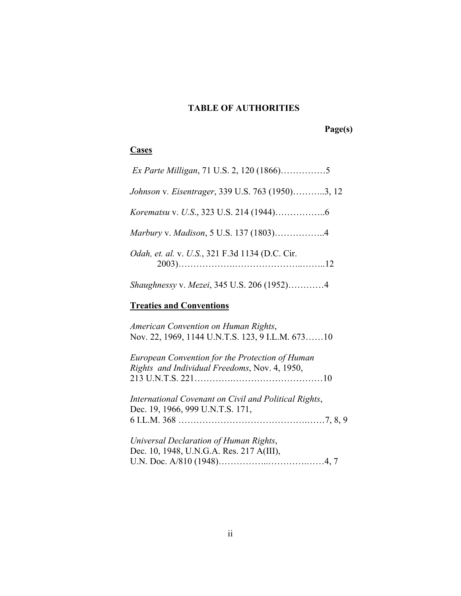## **TABLE OF AUTHORITIES**

# **Page(s)**

### **Cases**

| Johnson v. Eisentrager, 339 U.S. 763 (1950)3, 12                                                 |
|--------------------------------------------------------------------------------------------------|
|                                                                                                  |
| Marbury v. Madison, 5 U.S. 137 (1803)4                                                           |
| <i>Odah, et. al. v. U.S., 321 F.3d 1134 (D.C. Cir.</i>                                           |
| Shaughnessy v. Mezei, 345 U.S. 206 (1952)4                                                       |
| <b>Treaties and Conventions</b>                                                                  |
| American Convention on Human Rights,<br>Nov. 22, 1969, 1144 U.N.T.S. 123, 9 I.L.M. 67310         |
| European Convention for the Protection of Human<br>Rights and Individual Freedoms, Nov. 4, 1950, |
| International Covenant on Civil and Political Rights,<br>Dec. 19, 1966, 999 U.N.T.S. 171,        |
| Universal Declaration of Human Rights,<br>Dec. 10, 1948, U.N.G.A. Res. 217 A(III),               |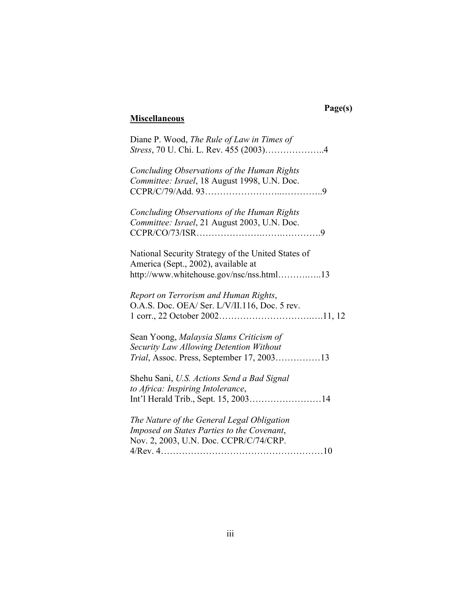# **Page(s)**

# **Miscellaneous**

| Diane P. Wood, The Rule of Law in Times of                                                  |
|---------------------------------------------------------------------------------------------|
| Concluding Observations of the Human Rights<br>Committee: Israel, 18 August 1998, U.N. Doc. |
|                                                                                             |
| Concluding Observations of the Human Rights<br>Committee: Israel, 21 August 2003, U.N. Doc. |
|                                                                                             |
| National Security Strategy of the United States of<br>America (Sept., 2002), available at   |
| http://www.whitehouse.gov/nsc/nss.html13                                                    |
| Report on Terrorism and Human Rights,<br>O.A.S. Doc. OEA/ Ser. L/V/II.116, Doc. 5 rev.      |
| Sean Yoong, Malaysia Slams Criticism of<br>Security Law Allowing Detention Without          |
| Trial, Assoc. Press, September 17, 200313                                                   |
| Shehu Sani, U.S. Actions Send a Bad Signal                                                  |
| to Africa: Inspiring Intolerance,<br>Int'l Herald Trib., Sept. 15, 200314                   |
| The Nature of the General Legal Obligation                                                  |
| Imposed on States Parties to the Covenant,                                                  |
| Nov. 2, 2003, U.N. Doc. CCPR/C/74/CRP.                                                      |
|                                                                                             |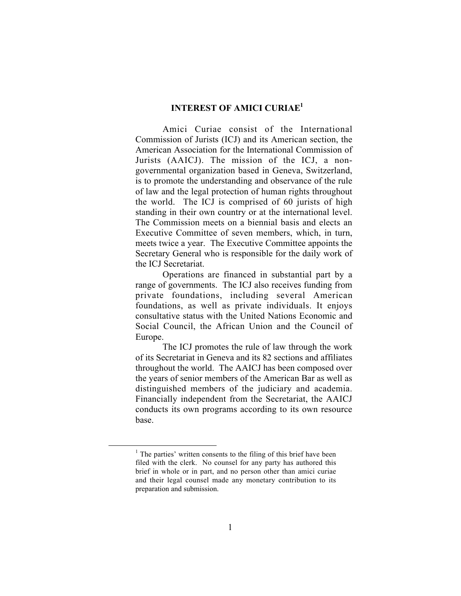### **INTEREST OF AMICI CURIAE1**

Amici Curiae consist of the International Commission of Jurists (ICJ) and its American section, the American Association for the International Commission of Jurists (AAICJ). The mission of the ICJ, a nongovernmental organization based in Geneva, Switzerland, is to promote the understanding and observance of the rule of law and the legal protection of human rights throughout the world. The ICJ is comprised of 60 jurists of high standing in their own country or at the international level. The Commission meets on a biennial basis and elects an Executive Committee of seven members, which, in turn, meets twice a year. The Executive Committee appoints the Secretary General who is responsible for the daily work of the ICJ Secretariat.

Operations are financed in substantial part by a range of governments. The ICJ also receives funding from private foundations, including several American foundations, as well as private individuals. It enjoys consultative status with the United Nations Economic and Social Council, the African Union and the Council of Europe.

The ICJ promotes the rule of law through the work of its Secretariat in Geneva and its 82 sections and affiliates throughout the world. The AAICJ has been composed over the years of senior members of the American Bar as well as distinguished members of the judiciary and academia. Financially independent from the Secretariat, the AAICJ conducts its own programs according to its own resource base.

 $<sup>1</sup>$  The parties' written consents to the filing of this brief have been</sup> filed with the clerk. No counsel for any party has authored this brief in whole or in part, and no person other than amici curiae and their legal counsel made any monetary contribution to its preparation and submission.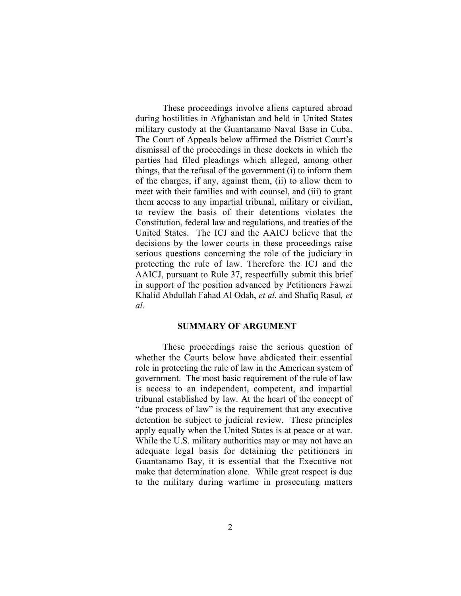These proceedings involve aliens captured abroad during hostilities in Afghanistan and held in United States military custody at the Guantanamo Naval Base in Cuba. The Court of Appeals below affirmed the District Court's dismissal of the proceedings in these dockets in which the parties had filed pleadings which alleged, among other things, that the refusal of the government (i) to inform them of the charges, if any, against them, (ii) to allow them to meet with their families and with counsel, and (iii) to grant them access to any impartial tribunal, military or civilian, to review the basis of their detentions violates the Constitution, federal law and regulations, and treaties of the United States. The ICJ and the AAICJ believe that the decisions by the lower courts in these proceedings raise serious questions concerning the role of the judiciary in protecting the rule of law. Therefore the ICJ and the AAICJ, pursuant to Rule 37, respectfully submit this brief in support of the position advanced by Petitioners Fawzi Khalid Abdullah Fahad Al Odah, *et al.* and Shafiq Rasul*, et al*.

#### **SUMMARY OF ARGUMENT**

These proceedings raise the serious question of whether the Courts below have abdicated their essential role in protecting the rule of law in the American system of government. The most basic requirement of the rule of law is access to an independent, competent, and impartial tribunal established by law. At the heart of the concept of "due process of law" is the requirement that any executive detention be subject to judicial review. These principles apply equally when the United States is at peace or at war. While the U.S. military authorities may or may not have an adequate legal basis for detaining the petitioners in Guantanamo Bay, it is essential that the Executive not make that determination alone. While great respect is due to the military during wartime in prosecuting matters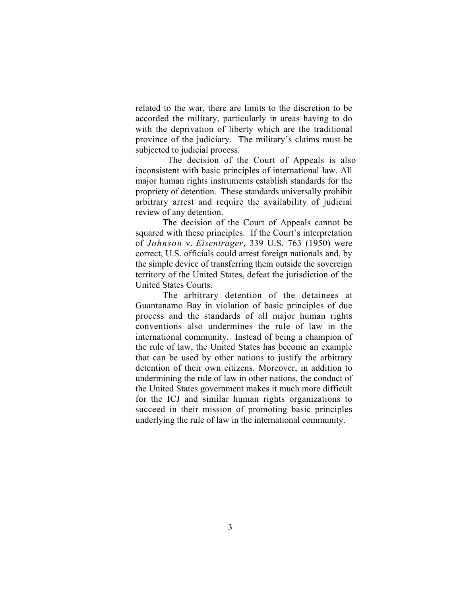related to the war, there are limits to the discretion to be accorded the military, particularly in areas having to do with the deprivation of liberty which are the traditional province of the judiciary. The military's claims must be subjected to judicial process.

The decision of the Court of Appeals is also inconsistent with basic principles of international law. All major human rights instruments establish standards for the propriety of detention. These standards universally prohibit arbitrary arrest and require the availability of judicial review of any detention.

The decision of the Court of Appeals cannot be squared with these principles. If the Court's interpretation of *Johnson* v. *Eisentrager*, 339 U.S. 763 (1950) were correct, U.S. officials could arrest foreign nationals and, by the simple device of transferring them outside the sovereign territory of the United States, defeat the jurisdiction of the United States Courts.

The arbitrary detention of the detainees at Guantanamo Bay in violation of basic principles of due process and the standards of all major human rights conventions also undermines the rule of law in the international community. Instead of being a champion of the rule of law, the United States has become an example that can be used by other nations to justify the arbitrary detention of their own citizens. Moreover, in addition to undermining the rule of law in other nations, the conduct of the United States government makes it much more difficult for the ICJ and similar human rights organizations to succeed in their mission of promoting basic principles underlying the rule of law in the international community.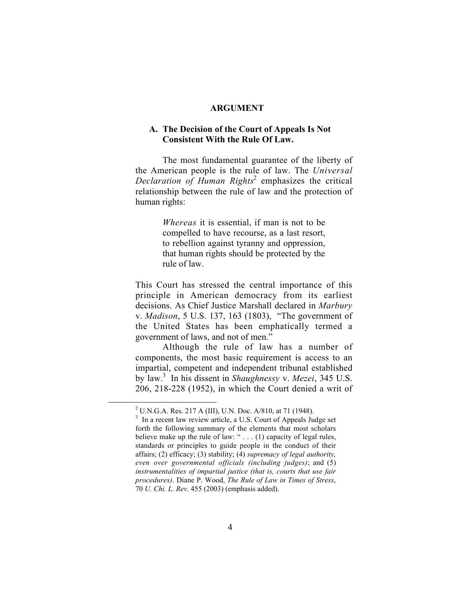#### **ARGUMENT**

### **A. The Decision of the Court of Appeals Is Not Consistent With the Rule Of Law.**

The most fundamental guarantee of the liberty of the American people is the rule of law. The *Universal Declaration of Human Rights*<sup>2</sup> emphasizes the critical relationship between the rule of law and the protection of human rights:

> *Whereas* it is essential, if man is not to be compelled to have recourse, as a last resort, to rebellion against tyranny and oppression, that human rights should be protected by the rule of law.

This Court has stressed the central importance of this principle in American democracy from its earliest decisions. As Chief Justice Marshall declared in *Marbury* v. *Madison*, 5 U.S. 137, 163 (1803), "The government of the United States has been emphatically termed a government of laws, and not of men."

Although the rule of law has a number of components, the most basic requirement is access to an impartial, competent and independent tribunal established by law.3 In his dissent in *Shaughnessy* v. *Mezei*, 345 U.S. 206, 218-228 (1952), in which the Court denied a writ of

 $\frac{1}{2}$ <sup>2</sup> U.N.G.A. Res. 217 A (III), U.N. Doc. A/810, at 71 (1948).

<sup>&</sup>lt;sup>3</sup> In a recent law review article, a U.S. Court of Appeals Judge set forth the following summary of the elements that most scholars believe make up the rule of law: " . . . (1) capacity of legal rules, standards or principles to guide people in the conduct of their affairs; (2) efficacy; (3) stability; (4) *supremacy of legal authority, even over governmental officials (including judges)*; and (5) *instrumentalities of impartial justice (that is, courts that use fair procedures)*. Diane P. Wood, *The Rule of Law in Times of Stress*, 70 *U. Chi. L. Rev.* 455 (2003) (emphasis added).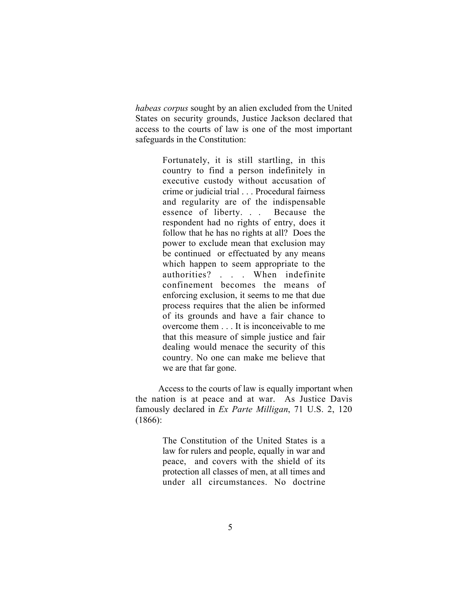*habeas corpus* sought by an alien excluded from the United States on security grounds, Justice Jackson declared that access to the courts of law is one of the most important safeguards in the Constitution:

> Fortunately, it is still startling, in this country to find a person indefinitely in executive custody without accusation of crime or judicial trial . . . Procedural fairness and regularity are of the indispensable essence of liberty. . . Because the respondent had no rights of entry, does it follow that he has no rights at all? Does the power to exclude mean that exclusion may be continued or effectuated by any means which happen to seem appropriate to the authorities? . . . When indefinite confinement becomes the means of enforcing exclusion, it seems to me that due process requires that the alien be informed of its grounds and have a fair chance to overcome them . . . It is inconceivable to me that this measure of simple justice and fair dealing would menace the security of this country. No one can make me believe that we are that far gone.

 Access to the courts of law is equally important when the nation is at peace and at war. As Justice Davis famously declared in *Ex Parte Milligan*, 71 U.S. 2, 120  $(1866):$ 

> The Constitution of the United States is a law for rulers and people, equally in war and peace, and covers with the shield of its protection all classes of men, at all times and under all circumstances. No doctrine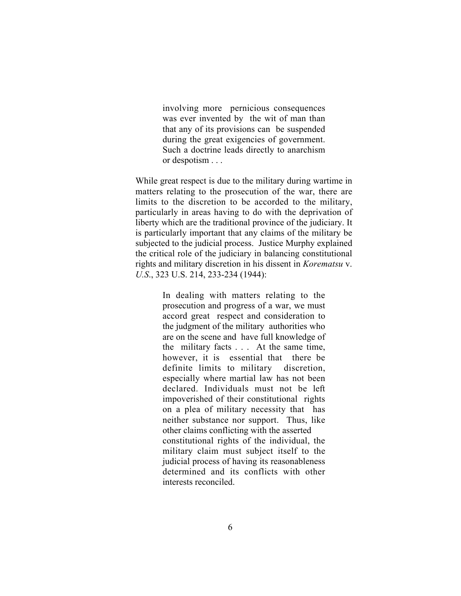involving more pernicious consequences was ever invented by the wit of man than that any of its provisions can be suspended during the great exigencies of government. Such a doctrine leads directly to anarchism or despotism . . .

While great respect is due to the military during wartime in matters relating to the prosecution of the war, there are limits to the discretion to be accorded to the military, particularly in areas having to do with the deprivation of liberty which are the traditional province of the judiciary. It is particularly important that any claims of the military be subjected to the judicial process. Justice Murphy explained the critical role of the judiciary in balancing constitutional rights and military discretion in his dissent in *Korematsu* v. *U.S*., 323 U.S. 214, 233-234 (1944):

> In dealing with matters relating to the prosecution and progress of a war, we must accord great respect and consideration to the judgment of the military authorities who are on the scene and have full knowledge of the military facts . . . At the same time, however, it is essential that there be definite limits to military discretion, especially where martial law has not been declared. Individuals must not be left impoverished of their constitutional rights on a plea of military necessity that has neither substance nor support. Thus, like other claims conflicting with the asserted constitutional rights of the individual, the military claim must subject itself to the judicial process of having its reasonableness determined and its conflicts with other interests reconciled.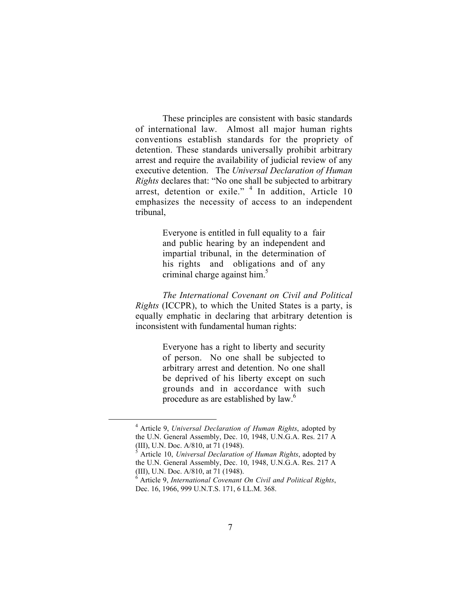These principles are consistent with basic standards of international law. Almost all major human rights conventions establish standards for the propriety of detention. These standards universally prohibit arbitrary arrest and require the availability of judicial review of any executive detention. The *Universal Declaration of Human Rights* declares that: "No one shall be subjected to arbitrary arrest, detention or exile."  $4$  In addition, Article 10 emphasizes the necessity of access to an independent tribunal,

> Everyone is entitled in full equality to a fair and public hearing by an independent and impartial tribunal, in the determination of his rights and obligations and of any criminal charge against him.<sup>5</sup>

*The International Covenant on Civil and Political Rights* (ICCPR), to which the United States is a party, is equally emphatic in declaring that arbitrary detention is inconsistent with fundamental human rights:

> Everyone has a right to liberty and security of person. No one shall be subjected to arbitrary arrest and detention. No one shall be deprived of his liberty except on such grounds and in accordance with such procedure as are established by law.<sup>6</sup>

 <sup>4</sup> Article 9, *Universal Declaration of Human Rights*, adopted by the U.N. General Assembly, Dec. 10, 1948, U.N.G.A. Res. 217 A (III), U.N. Doc. A/810, at 71 (1948).

<sup>5</sup> Article 10, *Universal Declaration of Human Rights*, adopted by the U.N. General Assembly, Dec. 10, 1948, U.N.G.A. Res. 217 A (III), U.N. Doc. A/810, at 71 (1948).

<sup>6</sup> Article 9, *International Covenant On Civil and Political Rights*, Dec. 16, 1966, 999 U.N.T.S. 171, 6 I.L.M. 368.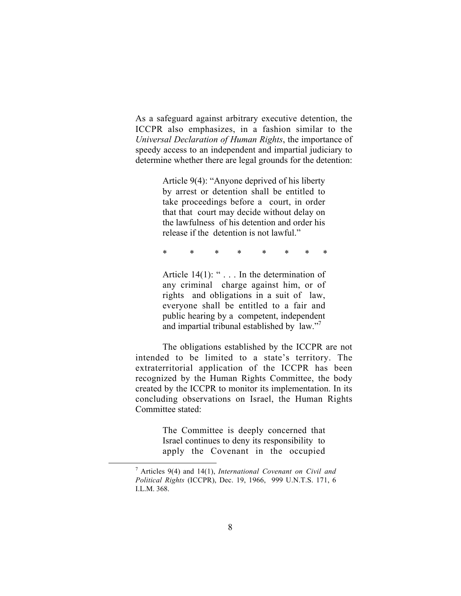As a safeguard against arbitrary executive detention, the ICCPR also emphasizes, in a fashion similar to the *Universal Declaration of Human Rights*, the importance of speedy access to an independent and impartial judiciary to determine whether there are legal grounds for the detention:

> Article 9(4): "Anyone deprived of his liberty by arrest or detention shall be entitled to take proceedings before a court, in order that that court may decide without delay on the lawfulness of his detention and order his release if the detention is not lawful."

> \* \* \* \* \* \* \* \*

Article 14(1): " . . . In the determination of any criminal charge against him, or of rights and obligations in a suit of law, everyone shall be entitled to a fair and public hearing by a competent, independent and impartial tribunal established by law."<sup>7</sup>

The obligations established by the ICCPR are not intended to be limited to a state's territory. The extraterritorial application of the ICCPR has been recognized by the Human Rights Committee, the body created by the ICCPR to monitor its implementation. In its concluding observations on Israel, the Human Rights Committee stated:

> The Committee is deeply concerned that Israel continues to deny its responsibility to apply the Covenant in the occupied

 <sup>7</sup> Articles 9(4) and 14(1), *International Covenant on Civil and Political Rights* (ICCPR), Dec. 19, 1966, 999 U.N.T.S. 171, 6 I.L.M. 368.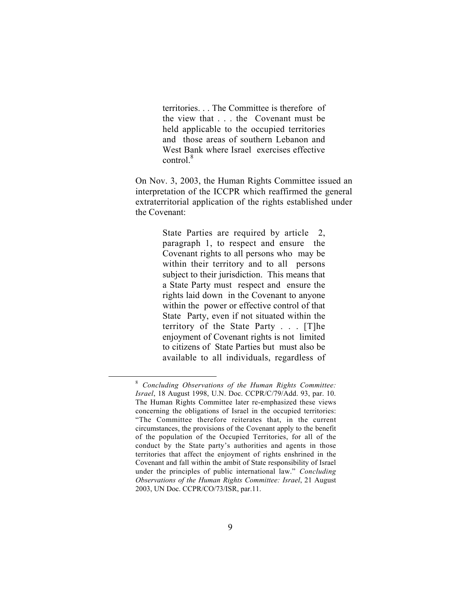territories. . . The Committee is therefore of the view that . . . the Covenant must be held applicable to the occupied territories and those areas of southern Lebanon and West Bank where Israel exercises effective control.<sup>8</sup>

On Nov. 3, 2003, the Human Rights Committee issued an interpretation of the ICCPR which reaffirmed the general extraterritorial application of the rights established under the Covenant:

> State Parties are required by article 2, paragraph 1, to respect and ensure the Covenant rights to all persons who may be within their territory and to all persons subject to their jurisdiction. This means that a State Party must respect and ensure the rights laid down in the Covenant to anyone within the power or effective control of that State Party, even if not situated within the territory of the State Party . . . [T]he enjoyment of Covenant rights is not limited to citizens of State Parties but must also be available to all individuals, regardless of

 <sup>8</sup> *Concluding Observations of the Human Rights Committee: Israel*, 18 August 1998, U.N. Doc. CCPR/C/79/Add. 93, par. 10. The Human Rights Committee later re-emphasized these views concerning the obligations of Israel in the occupied territories: "The Committee therefore reiterates that, in the current circumstances, the provisions of the Covenant apply to the benefit of the population of the Occupied Territories, for all of the conduct by the State party's authorities and agents in those territories that affect the enjoyment of rights enshrined in the Covenant and fall within the ambit of State responsibility of Israel under the principles of public international law." *Concluding Observations of the Human Rights Committee: Israel*, 21 August 2003, UN Doc. CCPR/CO/73/ISR, par.11.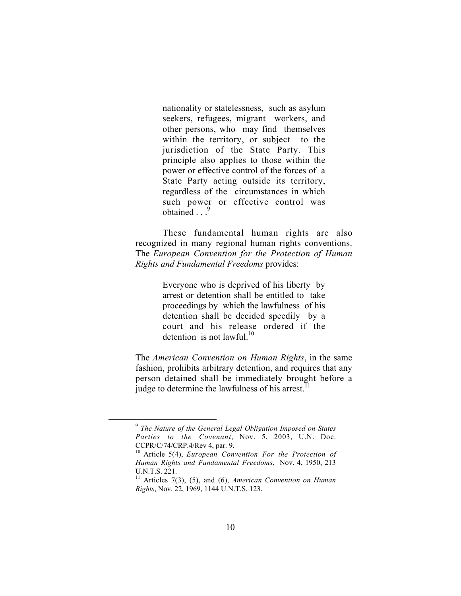nationality or statelessness, such as asylum seekers, refugees, migrant workers, and other persons, who may find themselves within the territory, or subject to the jurisdiction of the State Party. This principle also applies to those within the power or effective control of the forces of a State Party acting outside its territory, regardless of the circumstances in which such power or effective control was obtained  $\ldots$ <sup>9</sup>

These fundamental human rights are also recognized in many regional human rights conventions. The *European Convention for the Protection of Human Rights and Fundamental Freedoms* provides:

> Everyone who is deprived of his liberty by arrest or detention shall be entitled to take proceedings by which the lawfulness of his detention shall be decided speedily by a court and his release ordered if the detention is not lawful.<sup>10</sup>

The *American Convention on Human Rights*, in the same fashion, prohibits arbitrary detention, and requires that any person detained shall be immediately brought before a judge to determine the lawfulness of his arrest.<sup>1</sup>

 <sup>9</sup> *The Nature of the General Legal Obligation Imposed on States Parties to the Covenant*, Nov. 5, 2003, U.N. Doc. CCPR/C/74/CRP.4/Rev 4, par. 9.

<sup>10</sup> Article 5(4), *European Convention For the Protection of Human Rights and Fundamental Freedoms*, Nov. 4, 1950, 213 U.N.T.S. 221.

<sup>11</sup> Articles 7(3), (5), and (6), *American Convention on Human Rights*, Nov. 22, 1969, 1144 U.N.T.S. 123.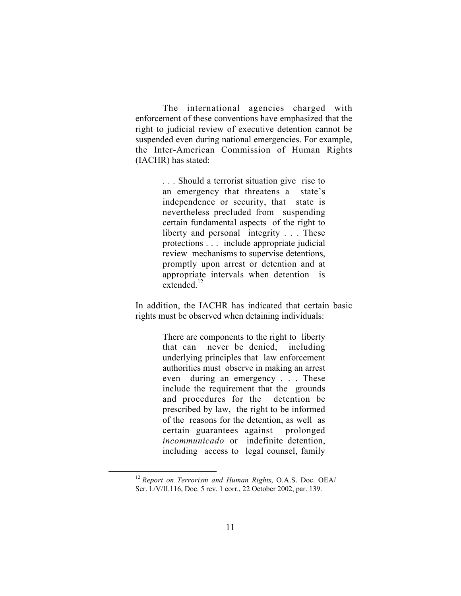The international agencies charged with enforcement of these conventions have emphasized that the right to judicial review of executive detention cannot be suspended even during national emergencies. For example, the Inter-American Commission of Human Rights (IACHR) has stated:

> . . . Should a terrorist situation give rise to an emergency that threatens a state's independence or security, that state is nevertheless precluded from suspending certain fundamental aspects of the right to liberty and personal integrity . . . These protections . . . include appropriate judicial review mechanisms to supervise detentions, promptly upon arrest or detention and at appropriate intervals when detention is extended $^{12}$

In addition, the IACHR has indicated that certain basic rights must be observed when detaining individuals:

> There are components to the right to liberty that can never be denied, including underlying principles that law enforcement authorities must observe in making an arrest even during an emergency . . . These include the requirement that the grounds and procedures for the detention be prescribed by law, the right to be informed of the reasons for the detention, as well as certain guarantees against prolonged *incommunicado* or indefinite detention, including access to legal counsel, family

 <sup>12</sup> *Report on Terrorism and Human Rights*, O.A.S. Doc. OEA/ Ser. L/V/II.116, Doc. 5 rev. 1 corr., 22 October 2002, par. 139.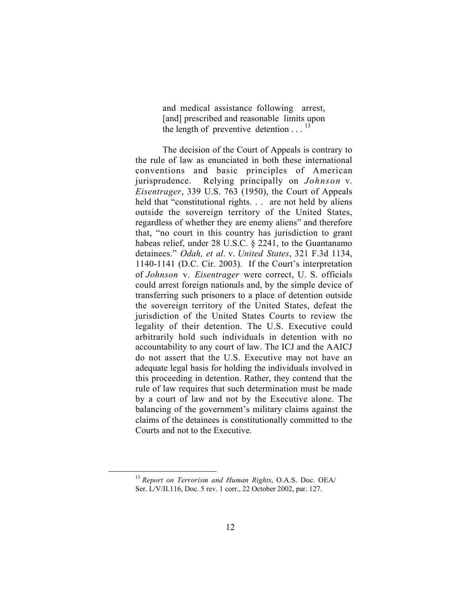and medical assistance following arrest, [and] prescribed and reasonable limits upon the length of preventive detention  $\ldots$ <sup>13</sup>

The decision of the Court of Appeals is contrary to the rule of law as enunciated in both these international conventions and basic principles of American jurisprudence. Relying principally on *Johnson* v. *Eisentrager*, 339 U.S. 763 (1950), the Court of Appeals held that "constitutional rights... are not held by aliens outside the sovereign territory of the United States, regardless of whether they are enemy aliens" and therefore that, "no court in this country has jurisdiction to grant habeas relief, under 28 U.S.C. § 2241, to the Guantanamo detainees." *Odah, et al*. v. *United States*, 321 F.3d 1134, 1140-1141 (D.C. Cir. 2003). If the Court's interpretation of *Johnson* v. *Eisentrager* were correct, U. S. officials could arrest foreign nationals and, by the simple device of transferring such prisoners to a place of detention outside the sovereign territory of the United States, defeat the jurisdiction of the United States Courts to review the legality of their detention. The U.S. Executive could arbitrarily hold such individuals in detention with no accountability to any court of law. The ICJ and the AAICJ do not assert that the U.S. Executive may not have an adequate legal basis for holding the individuals involved in this proceeding in detention. Rather, they contend that the rule of law requires that such determination must be made by a court of law and not by the Executive alone. The balancing of the government's military claims against the claims of the detainees is constitutionally committed to the Courts and not to the Executive.

 <sup>13</sup> *Report on Terrorism and Human Rights*, O.A.S. Doc. OEA/ Ser. L/V/II.116, Doc. 5 rev. 1 corr., 22 October 2002, par. 127.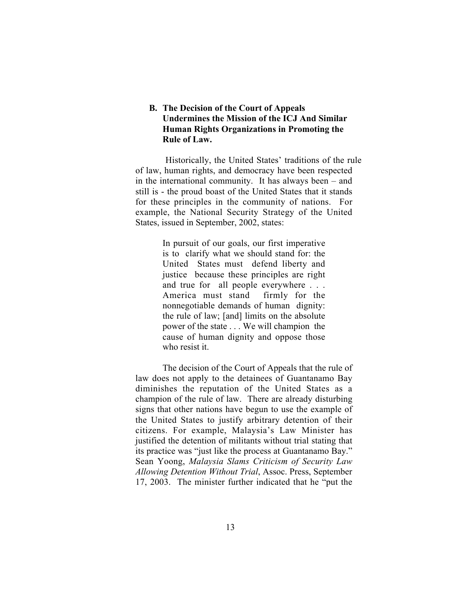### **B. The Decision of the Court of Appeals Undermines the Mission of the ICJ And Similar Human Rights Organizations in Promoting the Rule of Law.**

 Historically, the United States' traditions of the rule of law, human rights, and democracy have been respected in the international community. It has always been – and still is - the proud boast of the United States that it stands for these principles in the community of nations. For example, the National Security Strategy of the United States, issued in September, 2002, states:

> In pursuit of our goals, our first imperative is to clarify what we should stand for: the United States must defend liberty and justice because these principles are right and true for all people everywhere . . . America must stand firmly for the nonnegotiable demands of human dignity: the rule of law; [and] limits on the absolute power of the state . . . We will champion the cause of human dignity and oppose those who resist it.

 The decision of the Court of Appeals that the rule of law does not apply to the detainees of Guantanamo Bay diminishes the reputation of the United States as a champion of the rule of law. There are already disturbing signs that other nations have begun to use the example of the United States to justify arbitrary detention of their citizens. For example, Malaysia's Law Minister has justified the detention of militants without trial stating that its practice was "just like the process at Guantanamo Bay." Sean Yoong, *Malaysia Slams Criticism of Security Law Allowing Detention Without Trial*, Assoc. Press, September 17, 2003. The minister further indicated that he "put the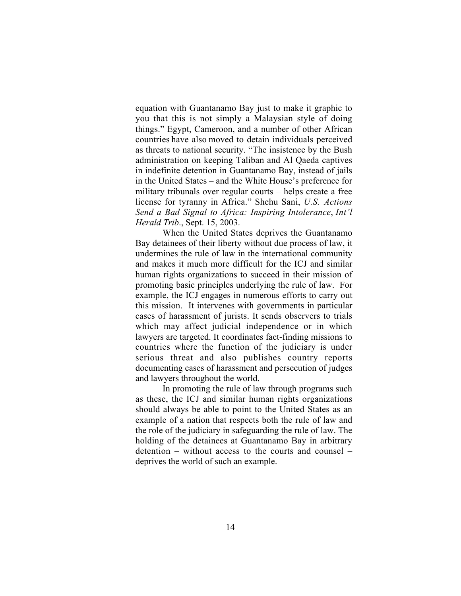equation with Guantanamo Bay just to make it graphic to you that this is not simply a Malaysian style of doing things." Egypt, Cameroon, and a number of other African countries have also moved to detain individuals perceived as threats to national security. "The insistence by the Bush administration on keeping Taliban and Al Qaeda captives in indefinite detention in Guantanamo Bay, instead of jails in the United States – and the White House's preference for military tribunals over regular courts – helps create a free license for tyranny in Africa." Shehu Sani, *U.S. Actions Send a Bad Signal to Africa: Inspiring Intolerance*, *Int'l Herald Trib*., Sept. 15, 2003.

When the United States deprives the Guantanamo Bay detainees of their liberty without due process of law, it undermines the rule of law in the international community and makes it much more difficult for the ICJ and similar human rights organizations to succeed in their mission of promoting basic principles underlying the rule of law. For example, the ICJ engages in numerous efforts to carry out this mission. It intervenes with governments in particular cases of harassment of jurists. It sends observers to trials which may affect judicial independence or in which lawyers are targeted. It coordinates fact-finding missions to countries where the function of the judiciary is under serious threat and also publishes country reports documenting cases of harassment and persecution of judges and lawyers throughout the world.

In promoting the rule of law through programs such as these, the ICJ and similar human rights organizations should always be able to point to the United States as an example of a nation that respects both the rule of law and the role of the judiciary in safeguarding the rule of law. The holding of the detainees at Guantanamo Bay in arbitrary detention – without access to the courts and counsel – deprives the world of such an example.